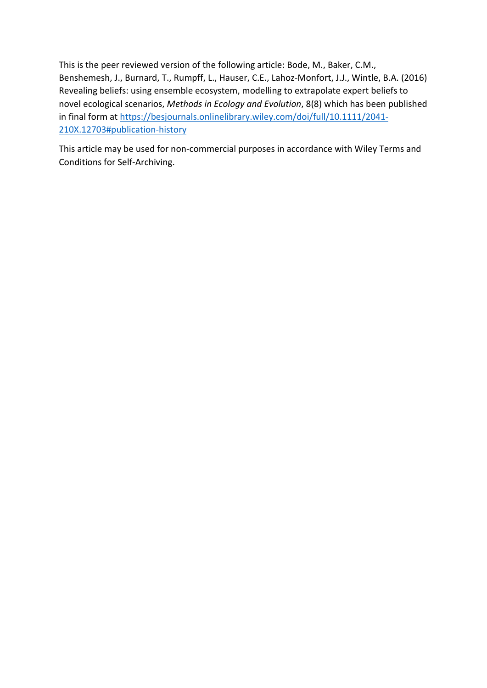This is the peer reviewed version of the following article: Bode, M., Baker, C.M., Benshemesh, J., Burnard, T., Rumpff, L., Hauser, C.E., Lahoz-Monfort, J.J., Wintle, B.A. (2016) Revealing beliefs: using ensemble ecosystem, modelling to extrapolate expert beliefs to novel ecological scenarios, *Methods in Ecology and Evolution*, 8(8) which has been published in final form a[t https://besjournals.onlinelibrary.wiley.com/doi/full/10.1111/2041-](https://besjournals.onlinelibrary.wiley.com/doi/full/10.1111/2041-210X.12703#publication-history) [210X.12703#publication-history](https://besjournals.onlinelibrary.wiley.com/doi/full/10.1111/2041-210X.12703#publication-history)

This article may be used for non-commercial purposes in accordance with Wiley Terms and Conditions for Self-Archiving.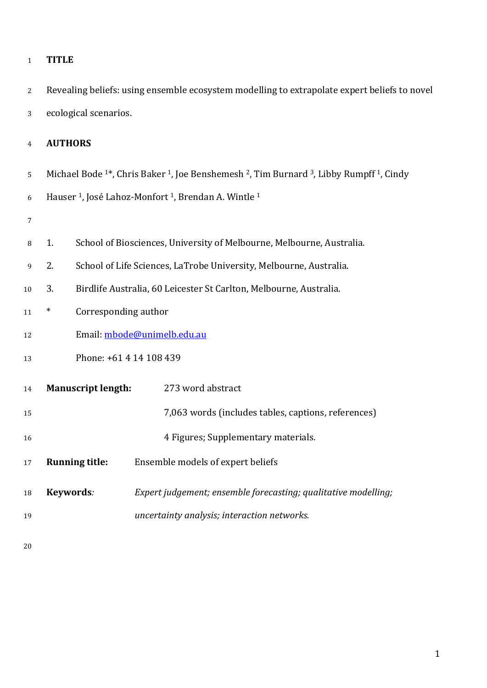| L |
|---|
|   |

 Revealing beliefs: using ensemble ecosystem modelling to extrapolate expert beliefs to novel ecological scenarios.

# **AUTHORS**

5 Michael Bode <sup>1\*</sup>, Chris Baker <sup>1</sup>, Joe Benshemesh <sup>2</sup>, Tim Burnard <sup>3</sup>, Libby Rumpff <sup>1</sup>, Cindy

6 Hauser <sup>1</sup>, José Lahoz-Monfort <sup>1</sup>, Brendan A. Wintle <sup>1</sup>

- 
- 1. School of Biosciences, University of Melbourne, Melbourne, Australia.
- 2. School of Life Sciences, LaTrobe University, Melbourne, Australia.
- 3. Birdlife Australia, 60 Leicester St Carlton, Melbourne, Australia.
- \* Corresponding author
- 12 Email: [mbode@unimelb.edu.au](mailto:mbode@unimelb.edu.au)

# Phone: +61 4 14 108 439

| 14 | <b>Manuscript length:</b> | 273 word abstract                                              |
|----|---------------------------|----------------------------------------------------------------|
| 15 |                           | 7,063 words (includes tables, captions, references)            |
| 16 |                           | 4 Figures; Supplementary materials.                            |
| 17 | <b>Running title:</b>     | Ensemble models of expert beliefs                              |
| 18 | Keywords:                 | Expert judgement; ensemble forecasting; qualitative modelling; |
| 19 |                           | uncertainty analysis; interaction networks.                    |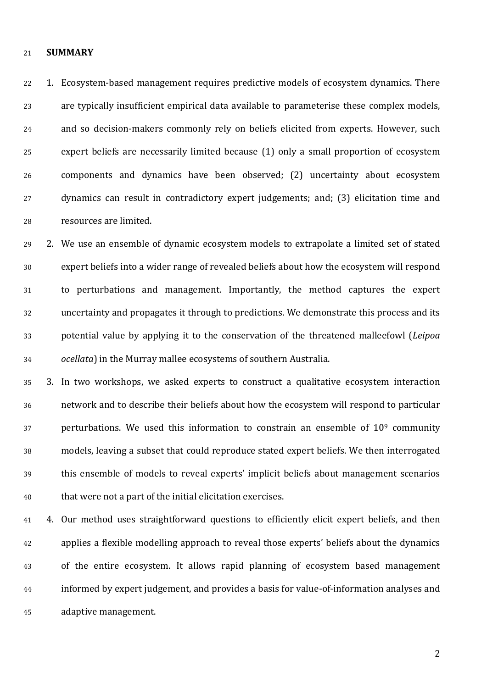#### **SUMMARY**

 1. Ecosystem-based management requires predictive models of ecosystem dynamics. There are typically insufficient empirical data available to parameterise these complex models, and so decision-makers commonly rely on beliefs elicited from experts. However, such expert beliefs are necessarily limited because (1) only a small proportion of ecosystem components and dynamics have been observed; (2) uncertainty about ecosystem dynamics can result in contradictory expert judgements; and; (3) elicitation time and resources are limited.

 2. We use an ensemble of dynamic ecosystem models to extrapolate a limited set of stated expert beliefs into a wider range of revealed beliefs about how the ecosystem will respond to perturbations and management. Importantly, the method captures the expert uncertainty and propagates it through to predictions. We demonstrate this process and its potential value by applying it to the conservation of the threatened malleefowl (*Leipoa ocellata*) in the Murray mallee ecosystems of southern Australia.

 3. In two workshops, we asked experts to construct a qualitative ecosystem interaction network and to describe their beliefs about how the ecosystem will respond to particular perturbations. We used this information to constrain an ensemble of  $10<sup>9</sup>$  community models, leaving a subset that could reproduce stated expert beliefs. We then interrogated this ensemble of models to reveal experts' implicit beliefs about management scenarios that were not a part of the initial elicitation exercises.

 4. Our method uses straightforward questions to efficiently elicit expert beliefs, and then applies a flexible modelling approach to reveal those experts' beliefs about the dynamics of the entire ecosystem. It allows rapid planning of ecosystem based management informed by expert judgement, and provides a basis for value-of-information analyses and adaptive management.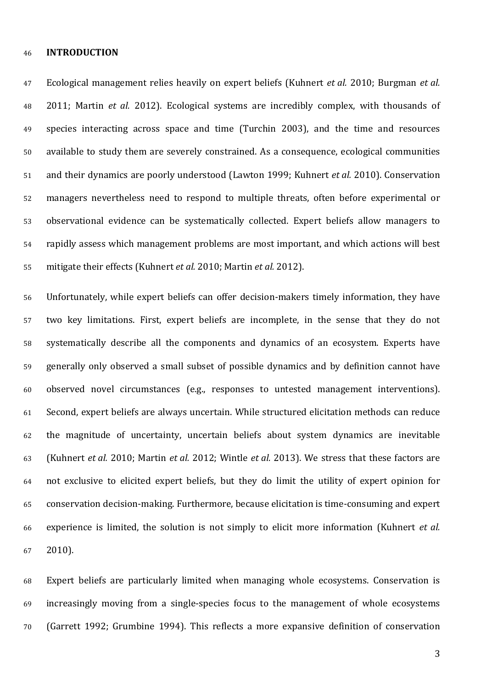#### **INTRODUCTION**

 Ecological management relies heavily on expert beliefs (Kuhnert *et al.* 2010; Burgman *et al.* 2011; Martin *et al.* 2012). Ecological systems are incredibly complex, with thousands of species interacting across space and time (Turchin 2003), and the time and resources available to study them are severely constrained. As a consequence, ecological communities and their dynamics are poorly understood (Lawton 1999; Kuhnert *et al.* 2010). Conservation managers nevertheless need to respond to multiple threats, often before experimental or observational evidence can be systematically collected. Expert beliefs allow managers to rapidly assess which management problems are most important, and which actions will best mitigate their effects (Kuhnert *et al.* 2010; Martin *et al.* 2012).

 Unfortunately, while expert beliefs can offer decision-makers timely information, they have two key limitations. First, expert beliefs are incomplete, in the sense that they do not systematically describe all the components and dynamics of an ecosystem. Experts have generally only observed a small subset of possible dynamics and by definition cannot have observed novel circumstances (e.g., responses to untested management interventions). Second, expert beliefs are always uncertain. While structured elicitation methods can reduce the magnitude of uncertainty, uncertain beliefs about system dynamics are inevitable (Kuhnert *et al.* 2010; Martin *et al.* 2012; Wintle *et al.* 2013). We stress that these factors are not exclusive to elicited expert beliefs, but they do limit the utility of expert opinion for conservation decision-making. Furthermore, because elicitation is time-consuming and expert experience is limited, the solution is not simply to elicit more information (Kuhnert *et al.* 2010).

 Expert beliefs are particularly limited when managing whole ecosystems. Conservation is increasingly moving from a single-species focus to the management of whole ecosystems (Garrett 1992; Grumbine 1994). This reflects a more expansive definition of conservation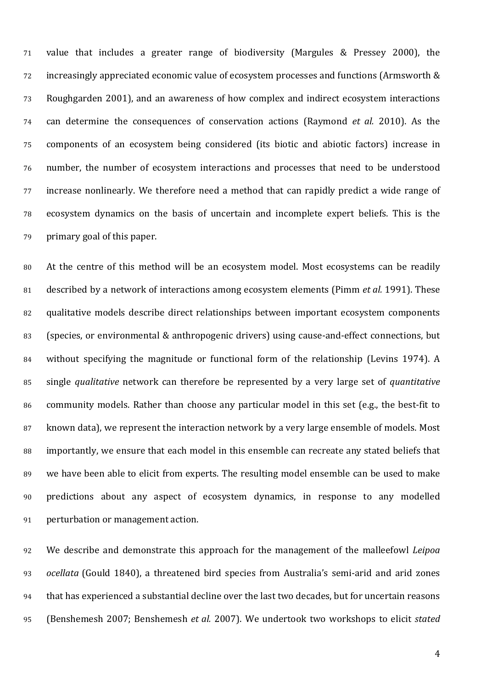value that includes a greater range of biodiversity (Margules & Pressey 2000), the increasingly appreciated economic value of ecosystem processes and functions (Armsworth & Roughgarden 2001), and an awareness of how complex and indirect ecosystem interactions can determine the consequences of conservation actions (Raymond *et al.* 2010). As the components of an ecosystem being considered (its biotic and abiotic factors) increase in number, the number of ecosystem interactions and processes that need to be understood increase nonlinearly. We therefore need a method that can rapidly predict a wide range of ecosystem dynamics on the basis of uncertain and incomplete expert beliefs. This is the primary goal of this paper.

 At the centre of this method will be an ecosystem model. Most ecosystems can be readily described by a network of interactions among ecosystem elements (Pimm *et al.* 1991). These qualitative models describe direct relationships between important ecosystem components (species, or environmental & anthropogenic drivers) using cause-and-effect connections, but without specifying the magnitude or functional form of the relationship (Levins 1974). A single *qualitative* network can therefore be represented by a very large set of *quantitative* community models. Rather than choose any particular model in this set (e.g., the best-fit to known data), we represent the interaction network by a very large ensemble of models. Most importantly, we ensure that each model in this ensemble can recreate any stated beliefs that we have been able to elicit from experts. The resulting model ensemble can be used to make predictions about any aspect of ecosystem dynamics, in response to any modelled perturbation or management action.

 We describe and demonstrate this approach for the management of the malleefowl *Leipoa ocellata* (Gould 1840), a threatened bird species from Australia's semi-arid and arid zones that has experienced a substantial decline over the last two decades, but for uncertain reasons (Benshemesh 2007; Benshemesh *et al.* 2007). We undertook two workshops to elicit *stated*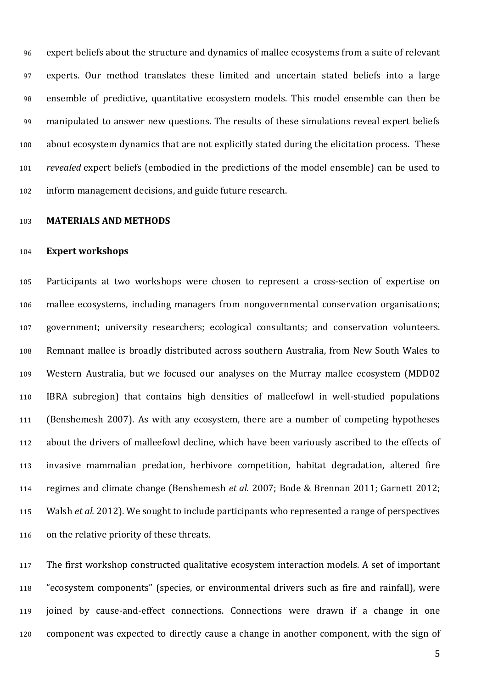expert beliefs about the structure and dynamics of mallee ecosystems from a suite of relevant experts. Our method translates these limited and uncertain stated beliefs into a large ensemble of predictive, quantitative ecosystem models. This model ensemble can then be manipulated to answer new questions. The results of these simulations reveal expert beliefs about ecosystem dynamics that are not explicitly stated during the elicitation process. These *revealed* expert beliefs (embodied in the predictions of the model ensemble) can be used to inform management decisions, and guide future research.

## **MATERIALS AND METHODS**

### **Expert workshops**

 Participants at two workshops were chosen to represent a cross-section of expertise on mallee ecosystems, including managers from nongovernmental conservation organisations; government; university researchers; ecological consultants; and conservation volunteers. Remnant mallee is broadly distributed across southern Australia, from New South Wales to Western Australia, but we focused our analyses on the Murray mallee ecosystem (MDD02 IBRA subregion) that contains high densities of malleefowl in well-studied populations (Benshemesh 2007). As with any ecosystem, there are a number of competing hypotheses about the drivers of malleefowl decline, which have been variously ascribed to the effects of invasive mammalian predation, herbivore competition, habitat degradation, altered fire regimes and climate change (Benshemesh *et al.* 2007; Bode & Brennan 2011; Garnett 2012; Walsh *et al.* 2012). We sought to include participants who represented a range of perspectives on the relative priority of these threats.

 The first workshop constructed qualitative ecosystem interaction models. A set of important "ecosystem components" (species, or environmental drivers such as fire and rainfall), were joined by cause-and-effect connections. Connections were drawn if a change in one component was expected to directly cause a change in another component, with the sign of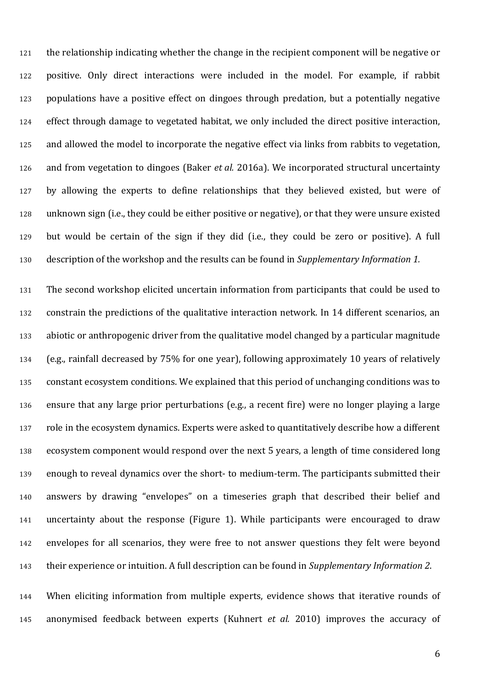the relationship indicating whether the change in the recipient component will be negative or positive. Only direct interactions were included in the model. For example, if rabbit populations have a positive effect on dingoes through predation, but a potentially negative effect through damage to vegetated habitat, we only included the direct positive interaction, and allowed the model to incorporate the negative effect via links from rabbits to vegetation, and from vegetation to dingoes (Baker *et al.* 2016a). We incorporated structural uncertainty by allowing the experts to define relationships that they believed existed, but were of unknown sign (i.e., they could be either positive or negative), or that they were unsure existed but would be certain of the sign if they did (i.e., they could be zero or positive). A full description of the workshop and the results can be found in *Supplementary Information 1.*

 The second workshop elicited uncertain information from participants that could be used to constrain the predictions of the qualitative interaction network. In 14 different scenarios, an abiotic or anthropogenic driver from the qualitative model changed by a particular magnitude (e.g., rainfall decreased by 75% for one year), following approximately 10 years of relatively constant ecosystem conditions. We explained that this period of unchanging conditions was to ensure that any large prior perturbations (e.g., a recent fire) were no longer playing a large role in the ecosystem dynamics. Experts were asked to quantitatively describe how a different ecosystem component would respond over the next 5 years, a length of time considered long enough to reveal dynamics over the short- to medium-term. The participants submitted their answers by drawing "envelopes" on a timeseries graph that described their belief and uncertainty about the response (Figure 1). While participants were encouraged to draw envelopes for all scenarios, they were free to not answer questions they felt were beyond their experience or intuition. A full description can be found in *Supplementary Information 2*.

 When eliciting information from multiple experts, evidence shows that iterative rounds of anonymised feedback between experts (Kuhnert *et al.* 2010) improves the accuracy of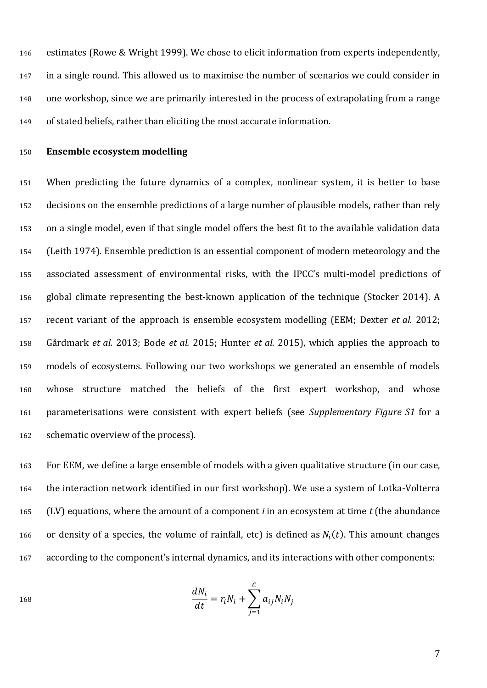estimates (Rowe & Wright 1999). We chose to elicit information from experts independently, in a single round. This allowed us to maximise the number of scenarios we could consider in one workshop, since we are primarily interested in the process of extrapolating from a range of stated beliefs, rather than eliciting the most accurate information.

## **Ensemble ecosystem modelling**

 When predicting the future dynamics of a complex, nonlinear system, it is better to base decisions on the ensemble predictions of a large number of plausible models, rather than rely on a single model, even if that single model offers the best fit to the available validation data (Leith 1974). Ensemble prediction is an essential component of modern meteorology and the associated assessment of environmental risks, with the IPCC's multi-model predictions of global climate representing the best-known application of the technique (Stocker 2014). A recent variant of the approach is ensemble ecosystem modelling (EEM; Dexter *et al.* 2012; Gårdmark *et al.* 2013; Bode *et al.* 2015; Hunter *et al.* 2015), which applies the approach to models of ecosystems. Following our two workshops we generated an ensemble of models whose structure matched the beliefs of the first expert workshop, and whose parameterisations were consistent with expert beliefs (see *Supplementary Figure S1* for a schematic overview of the process).

 For EEM, we define a large ensemble of models with a given qualitative structure (in our case, the interaction network identified in our first workshop). We use a system of Lotka-Volterra (LV) equations, where the amount of a component *i* in an ecosystem at time *t* (the abundance 166 or density of a species, the volume of rainfall, etc) is defined as  $N_i(t)$ . This amount changes according to the component's internal dynamics, and its interactions with other components:

$$
\frac{dN_i}{dt} = r_i N_i + \sum_{j=1}^{C} a_{ij} N_i N_j
$$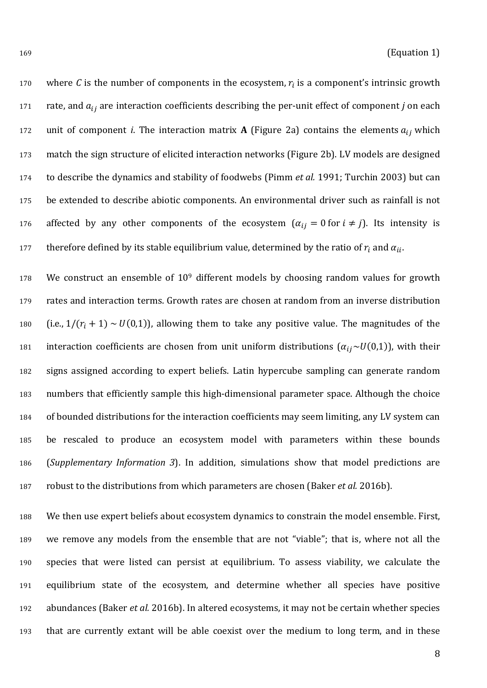170 where *C* is the number of components in the ecosystem,  $r_i$  is a component's intrinsic growth 171 rate, and  $a_{ij}$  are interaction coefficients describing the per-unit effect of component *j* on each 172 unit of component *i*. The interaction matrix **A** (Figure 2a) contains the elements  $a_{ij}$  which match the sign structure of elicited interaction networks (Figure 2b). LV models are designed to describe the dynamics and stability of foodwebs (Pimm *et al.* 1991; Turchin 2003) but can be extended to describe abiotic components. An environmental driver such as rainfall is not 176 affected by any other components of the ecosystem  $(\alpha_{ij} = 0 \text{ for } i \neq j)$ . Its intensity is therefore defined by its stable equilibrium value, determined by the ratio of  $r_i$  and  $\alpha_{ii}$ .

178 We construct an ensemble of 10<sup>9</sup> different models by choosing random values for growth rates and interaction terms. Growth rates are chosen at random from an inverse distribution 180 (i.e.,  $1/(r_i + 1) \sim U(0,1)$ ), allowing them to take any positive value. The magnitudes of the 181 interaction coefficients are chosen from unit uniform distributions  $(\alpha_{ij} \sim U(0,1))$ , with their signs assigned according to expert beliefs. Latin hypercube sampling can generate random numbers that efficiently sample this high-dimensional parameter space. Although the choice of bounded distributions for the interaction coefficients may seem limiting, any LV system can be rescaled to produce an ecosystem model with parameters within these bounds (*Supplementary Information 3*). In addition, simulations show that model predictions are robust to the distributions from which parameters are chosen (Baker *et al.* 2016b).

 We then use expert beliefs about ecosystem dynamics to constrain the model ensemble. First, we remove any models from the ensemble that are not "viable"; that is, where not all the species that were listed can persist at equilibrium. To assess viability, we calculate the equilibrium state of the ecosystem, and determine whether all species have positive abundances (Baker *et al.* 2016b). In altered ecosystems, it may not be certain whether species that are currently extant will be able coexist over the medium to long term, and in these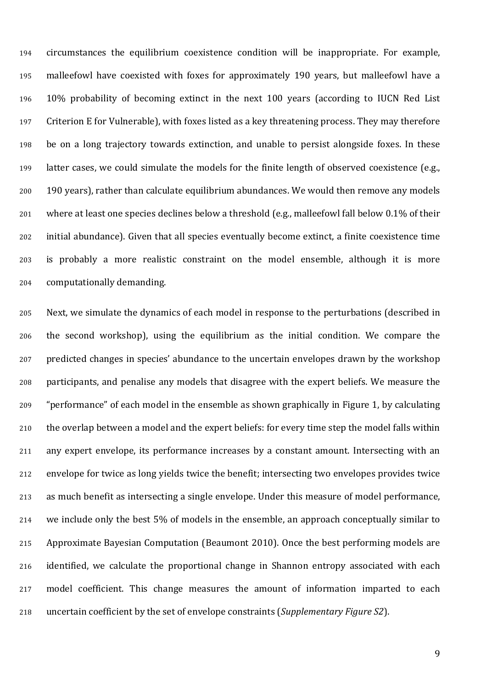circumstances the equilibrium coexistence condition will be inappropriate. For example, malleefowl have coexisted with foxes for approximately 190 years, but malleefowl have a 10% probability of becoming extinct in the next 100 years (according to IUCN Red List Criterion E for Vulnerable), with foxes listed as a key threatening process. They may therefore be on a long trajectory towards extinction, and unable to persist alongside foxes. In these latter cases, we could simulate the models for the finite length of observed coexistence (e.g., 190 years), rather than calculate equilibrium abundances. We would then remove any models where at least one species declines below a threshold (e.g., malleefowl fall below 0.1% of their initial abundance). Given that all species eventually become extinct, a finite coexistence time is probably a more realistic constraint on the model ensemble, although it is more computationally demanding.

 Next, we simulate the dynamics of each model in response to the perturbations (described in the second workshop), using the equilibrium as the initial condition. We compare the predicted changes in species' abundance to the uncertain envelopes drawn by the workshop participants, and penalise any models that disagree with the expert beliefs. We measure the "performance" of each model in the ensemble as shown graphically in Figure 1, by calculating the overlap between a model and the expert beliefs: for every time step the model falls within any expert envelope, its performance increases by a constant amount. Intersecting with an envelope for twice as long yields twice the benefit; intersecting two envelopes provides twice as much benefit as intersecting a single envelope. Under this measure of model performance, we include only the best 5% of models in the ensemble, an approach conceptually similar to Approximate Bayesian Computation (Beaumont 2010). Once the best performing models are identified, we calculate the proportional change in Shannon entropy associated with each model coefficient. This change measures the amount of information imparted to each uncertain coefficient by the set of envelope constraints (*Supplementary Figure S2*).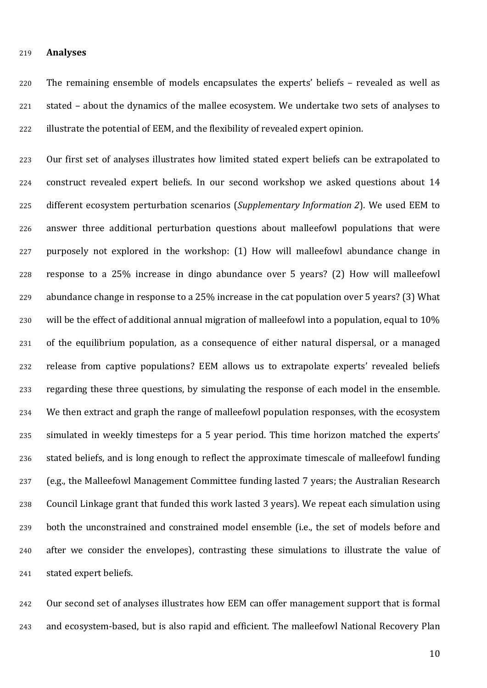#### **Analyses**

 The remaining ensemble of models encapsulates the experts' beliefs – revealed as well as stated – about the dynamics of the mallee ecosystem. We undertake two sets of analyses to illustrate the potential of EEM, and the flexibility of revealed expert opinion.

 Our first set of analyses illustrates how limited stated expert beliefs can be extrapolated to construct revealed expert beliefs. In our second workshop we asked questions about 14 different ecosystem perturbation scenarios (*Supplementary Information 2*). We used EEM to answer three additional perturbation questions about malleefowl populations that were purposely not explored in the workshop: (1) How will malleefowl abundance change in response to a 25% increase in dingo abundance over 5 years? (2) How will malleefowl abundance change in response to a 25% increase in the cat population over 5 years? (3) What will be the effect of additional annual migration of malleefowl into a population, equal to 10% of the equilibrium population, as a consequence of either natural dispersal, or a managed release from captive populations? EEM allows us to extrapolate experts' revealed beliefs regarding these three questions, by simulating the response of each model in the ensemble. We then extract and graph the range of malleefowl population responses, with the ecosystem simulated in weekly timesteps for a 5 year period. This time horizon matched the experts' stated beliefs, and is long enough to reflect the approximate timescale of malleefowl funding (e.g., the Malleefowl Management Committee funding lasted 7 years; the Australian Research Council Linkage grant that funded this work lasted 3 years). We repeat each simulation using both the unconstrained and constrained model ensemble (i.e., the set of models before and after we consider the envelopes), contrasting these simulations to illustrate the value of stated expert beliefs.

 Our second set of analyses illustrates how EEM can offer management support that is formal and ecosystem-based, but is also rapid and efficient. The malleefowl National Recovery Plan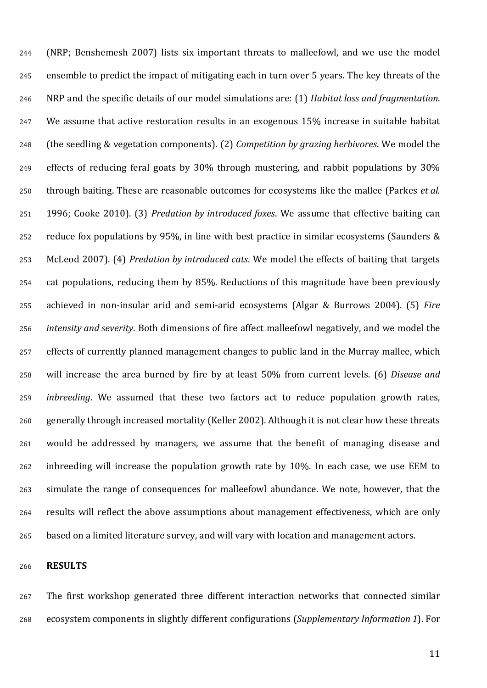(NRP; Benshemesh 2007) lists six important threats to malleefowl, and we use the model ensemble to predict the impact of mitigating each in turn over 5 years. The key threats of the NRP and the specific details of our model simulations are: (1) *Habitat loss and fragmentation*. We assume that active restoration results in an exogenous 15% increase in suitable habitat (the seedling & vegetation components). (2) *Competition by grazing herbivores*. We model the effects of reducing feral goats by 30% through mustering, and rabbit populations by 30% through baiting. These are reasonable outcomes for ecosystems like the mallee (Parkes *et al.* 1996; Cooke 2010). (3) *Predation by introduced foxes*. We assume that effective baiting can reduce fox populations by 95%, in line with best practice in similar ecosystems (Saunders & McLeod 2007). (4) *Predation by introduced cats*. We model the effects of baiting that targets cat populations, reducing them by 85%. Reductions of this magnitude have been previously achieved in non-insular arid and semi-arid ecosystems (Algar & Burrows 2004). (5) *Fire intensity and severity*. Both dimensions of fire affect malleefowl negatively, and we model the effects of currently planned management changes to public land in the Murray mallee, which will increase the area burned by fire by at least 50% from current levels. (6) *Disease and inbreeding*. We assumed that these two factors act to reduce population growth rates, generally through increased mortality (Keller 2002). Although it is not clear how these threats would be addressed by managers, we assume that the benefit of managing disease and inbreeding will increase the population growth rate by 10%. In each case, we use EEM to simulate the range of consequences for malleefowl abundance. We note, however, that the results will reflect the above assumptions about management effectiveness, which are only based on a limited literature survey, and will vary with location and management actors.

**RESULTS**

 The first workshop generated three different interaction networks that connected similar ecosystem components in slightly different configurations (*Supplementary Information 1*). For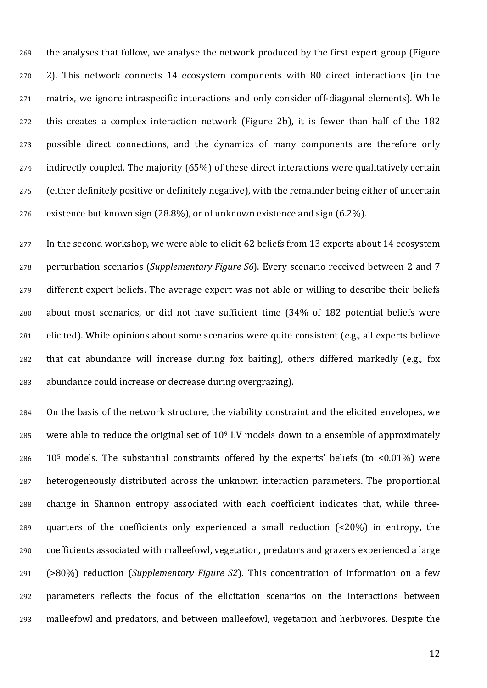the analyses that follow, we analyse the network produced by the first expert group (Figure 2). This network connects 14 ecosystem components with 80 direct interactions (in the matrix, we ignore intraspecific interactions and only consider off-diagonal elements). While this creates a complex interaction network (Figure 2b), it is fewer than half of the 182 possible direct connections, and the dynamics of many components are therefore only indirectly coupled. The majority (65%) of these direct interactions were qualitatively certain (either definitely positive or definitely negative), with the remainder being either of uncertain existence but known sign (28.8%), or of unknown existence and sign (6.2%).

277 In the second workshop, we were able to elicit 62 beliefs from 13 experts about 14 ecosystem perturbation scenarios (*Supplementary Figure S6*). Every scenario received between 2 and 7 different expert beliefs. The average expert was not able or willing to describe their beliefs about most scenarios, or did not have sufficient time (34% of 182 potential beliefs were elicited). While opinions about some scenarios were quite consistent (e.g., all experts believe that cat abundance will increase during fox baiting), others differed markedly (e.g., fox abundance could increase or decrease during overgrazing).

 On the basis of the network structure, the viability constraint and the elicited envelopes, we 285 were able to reduce the original set of  $10<sup>9</sup>$  LV models down to a ensemble of approximately 286 10<sup>5</sup> models. The substantial constraints offered by the experts' beliefs (to <0.01%) were heterogeneously distributed across the unknown interaction parameters. The proportional change in Shannon entropy associated with each coefficient indicates that, while three- quarters of the coefficients only experienced a small reduction (<20%) in entropy, the coefficients associated with malleefowl, vegetation, predators and grazers experienced a large (>80%) reduction (*Supplementary Figure S2*). This concentration of information on a few parameters reflects the focus of the elicitation scenarios on the interactions between malleefowl and predators, and between malleefowl, vegetation and herbivores. Despite the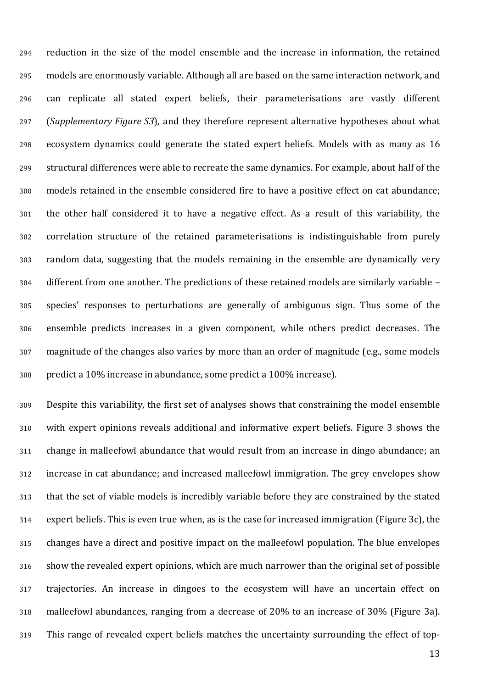reduction in the size of the model ensemble and the increase in information, the retained models are enormously variable. Although all are based on the same interaction network, and can replicate all stated expert beliefs, their parameterisations are vastly different (*Supplementary Figure S3*), and they therefore represent alternative hypotheses about what ecosystem dynamics could generate the stated expert beliefs. Models with as many as 16 structural differences were able to recreate the same dynamics. For example, about half of the models retained in the ensemble considered fire to have a positive effect on cat abundance; the other half considered it to have a negative effect. As a result of this variability, the correlation structure of the retained parameterisations is indistinguishable from purely random data, suggesting that the models remaining in the ensemble are dynamically very different from one another. The predictions of these retained models are similarly variable – species' responses to perturbations are generally of ambiguous sign. Thus some of the ensemble predicts increases in a given component, while others predict decreases. The magnitude of the changes also varies by more than an order of magnitude (e.g., some models predict a 10% increase in abundance, some predict a 100% increase).

 Despite this variability, the first set of analyses shows that constraining the model ensemble with expert opinions reveals additional and informative expert beliefs. Figure 3 shows the change in malleefowl abundance that would result from an increase in dingo abundance; an increase in cat abundance; and increased malleefowl immigration. The grey envelopes show that the set of viable models is incredibly variable before they are constrained by the stated expert beliefs. This is even true when, as is the case for increased immigration (Figure 3c), the changes have a direct and positive impact on the malleefowl population. The blue envelopes show the revealed expert opinions, which are much narrower than the original set of possible trajectories. An increase in dingoes to the ecosystem will have an uncertain effect on malleefowl abundances, ranging from a decrease of 20% to an increase of 30% (Figure 3a). This range of revealed expert beliefs matches the uncertainty surrounding the effect of top-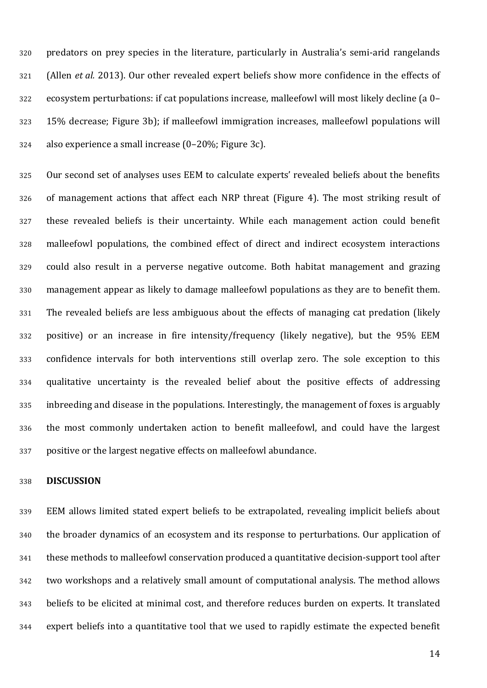predators on prey species in the literature, particularly in Australia's semi-arid rangelands (Allen *et al.* 2013). Our other revealed expert beliefs show more confidence in the effects of ecosystem perturbations: if cat populations increase, malleefowl will most likely decline (a 0– 15% decrease; Figure 3b); if malleefowl immigration increases, malleefowl populations will also experience a small increase (0–20%; Figure 3c).

 Our second set of analyses uses EEM to calculate experts' revealed beliefs about the benefits of management actions that affect each NRP threat (Figure 4). The most striking result of these revealed beliefs is their uncertainty. While each management action could benefit malleefowl populations, the combined effect of direct and indirect ecosystem interactions could also result in a perverse negative outcome. Both habitat management and grazing management appear as likely to damage malleefowl populations as they are to benefit them. The revealed beliefs are less ambiguous about the effects of managing cat predation (likely positive) or an increase in fire intensity/frequency (likely negative), but the 95% EEM confidence intervals for both interventions still overlap zero. The sole exception to this qualitative uncertainty is the revealed belief about the positive effects of addressing inbreeding and disease in the populations. Interestingly, the management of foxes is arguably the most commonly undertaken action to benefit malleefowl, and could have the largest positive or the largest negative effects on malleefowl abundance.

## **DISCUSSION**

 EEM allows limited stated expert beliefs to be extrapolated, revealing implicit beliefs about the broader dynamics of an ecosystem and its response to perturbations. Our application of these methods to malleefowl conservation produced a quantitative decision-support tool after two workshops and a relatively small amount of computational analysis. The method allows beliefs to be elicited at minimal cost, and therefore reduces burden on experts. It translated expert beliefs into a quantitative tool that we used to rapidly estimate the expected benefit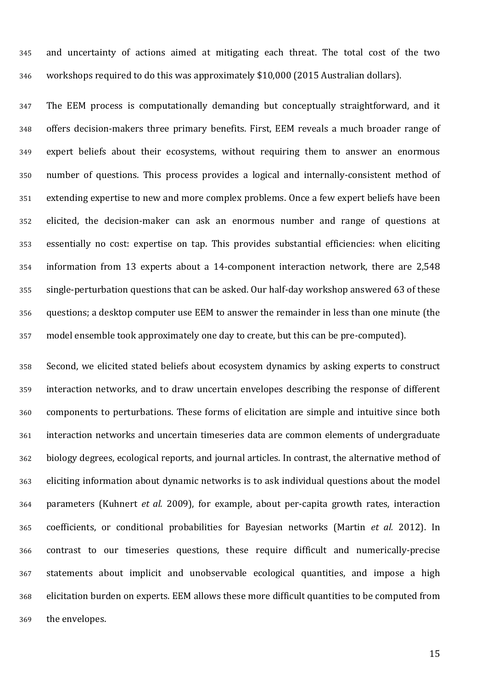and uncertainty of actions aimed at mitigating each threat. The total cost of the two workshops required to do this was approximately \$10,000 (2015 Australian dollars).

 The EEM process is computationally demanding but conceptually straightforward, and it offers decision-makers three primary benefits. First, EEM reveals a much broader range of expert beliefs about their ecosystems, without requiring them to answer an enormous number of questions. This process provides a logical and internally-consistent method of extending expertise to new and more complex problems. Once a few expert beliefs have been elicited, the decision-maker can ask an enormous number and range of questions at essentially no cost: expertise on tap. This provides substantial efficiencies: when eliciting information from 13 experts about a 14-component interaction network, there are 2,548 single-perturbation questions that can be asked. Our half-day workshop answered 63 of these questions; a desktop computer use EEM to answer the remainder in less than one minute (the model ensemble took approximately one day to create, but this can be pre-computed).

 Second, we elicited stated beliefs about ecosystem dynamics by asking experts to construct interaction networks, and to draw uncertain envelopes describing the response of different components to perturbations. These forms of elicitation are simple and intuitive since both interaction networks and uncertain timeseries data are common elements of undergraduate biology degrees, ecological reports, and journal articles. In contrast, the alternative method of eliciting information about dynamic networks is to ask individual questions about the model parameters (Kuhnert *et al.* 2009), for example, about per-capita growth rates, interaction coefficients, or conditional probabilities for Bayesian networks (Martin *et al.* 2012). In contrast to our timeseries questions, these require difficult and numerically-precise statements about implicit and unobservable ecological quantities, and impose a high elicitation burden on experts. EEM allows these more difficult quantities to be computed from the envelopes.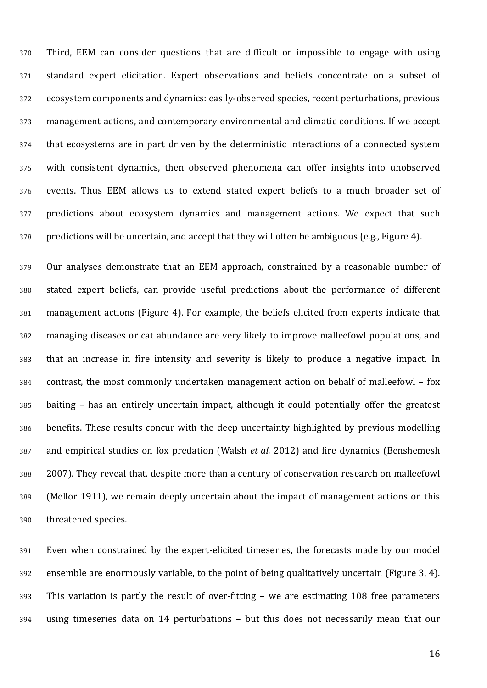Third, EEM can consider questions that are difficult or impossible to engage with using standard expert elicitation. Expert observations and beliefs concentrate on a subset of ecosystem components and dynamics: easily-observed species, recent perturbations, previous management actions, and contemporary environmental and climatic conditions. If we accept that ecosystems are in part driven by the deterministic interactions of a connected system with consistent dynamics, then observed phenomena can offer insights into unobserved events. Thus EEM allows us to extend stated expert beliefs to a much broader set of predictions about ecosystem dynamics and management actions. We expect that such predictions will be uncertain, and accept that they will often be ambiguous (e.g., Figure 4).

 Our analyses demonstrate that an EEM approach, constrained by a reasonable number of stated expert beliefs, can provide useful predictions about the performance of different management actions (Figure 4). For example, the beliefs elicited from experts indicate that managing diseases or cat abundance are very likely to improve malleefowl populations, and that an increase in fire intensity and severity is likely to produce a negative impact. In contrast, the most commonly undertaken management action on behalf of malleefowl – fox baiting – has an entirely uncertain impact, although it could potentially offer the greatest benefits. These results concur with the deep uncertainty highlighted by previous modelling and empirical studies on fox predation (Walsh *et al.* 2012) and fire dynamics (Benshemesh 2007). They reveal that, despite more than a century of conservation research on malleefowl (Mellor 1911), we remain deeply uncertain about the impact of management actions on this threatened species.

 Even when constrained by the expert-elicited timeseries, the forecasts made by our model ensemble are enormously variable, to the point of being qualitatively uncertain (Figure 3, 4). This variation is partly the result of over-fitting – we are estimating 108 free parameters using timeseries data on 14 perturbations – but this does not necessarily mean that our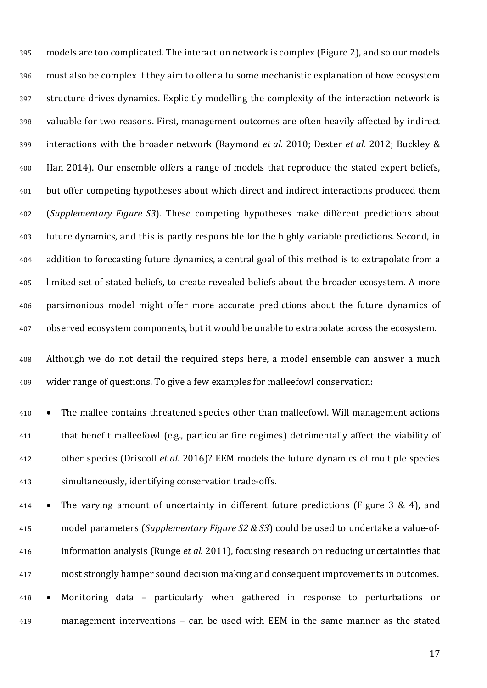models are too complicated. The interaction network is complex (Figure 2), and so our models must also be complex if they aim to offer a fulsome mechanistic explanation of how ecosystem structure drives dynamics. Explicitly modelling the complexity of the interaction network is valuable for two reasons. First, management outcomes are often heavily affected by indirect interactions with the broader network (Raymond *et al.* 2010; Dexter *et al.* 2012; Buckley & Han 2014). Our ensemble offers a range of models that reproduce the stated expert beliefs, but offer competing hypotheses about which direct and indirect interactions produced them (*Supplementary Figure S3*). These competing hypotheses make different predictions about future dynamics, and this is partly responsible for the highly variable predictions. Second, in addition to forecasting future dynamics, a central goal of this method is to extrapolate from a limited set of stated beliefs, to create revealed beliefs about the broader ecosystem. A more parsimonious model might offer more accurate predictions about the future dynamics of observed ecosystem components, but it would be unable to extrapolate across the ecosystem.

 Although we do not detail the required steps here, a model ensemble can answer a much wider range of questions. To give a few examples for malleefowl conservation:

 • The mallee contains threatened species other than malleefowl. Will management actions that benefit malleefowl (e.g., particular fire regimes) detrimentally affect the viability of other species (Driscoll *et al.* 2016)? EEM models the future dynamics of multiple species simultaneously, identifying conservation trade-offs.

 • The varying amount of uncertainty in different future predictions (Figure 3 & 4), and model parameters (*Supplementary Figure S2 & S3*) could be used to undertake a value-of- information analysis (Runge *et al.* 2011), focusing research on reducing uncertainties that most strongly hamper sound decision making and consequent improvements in outcomes. • Monitoring data – particularly when gathered in response to perturbations or management interventions – can be used with EEM in the same manner as the stated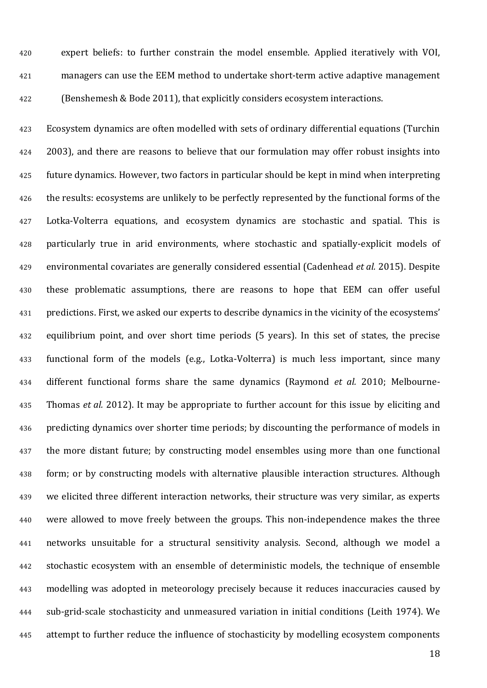expert beliefs: to further constrain the model ensemble. Applied iteratively with VOI, managers can use the EEM method to undertake short-term active adaptive management (Benshemesh & Bode 2011), that explicitly considers ecosystem interactions.

 Ecosystem dynamics are often modelled with sets of ordinary differential equations (Turchin 2003), and there are reasons to believe that our formulation may offer robust insights into future dynamics. However, two factors in particular should be kept in mind when interpreting the results: ecosystems are unlikely to be perfectly represented by the functional forms of the Lotka-Volterra equations, and ecosystem dynamics are stochastic and spatial. This is particularly true in arid environments, where stochastic and spatially-explicit models of environmental covariates are generally considered essential (Cadenhead *et al.* 2015). Despite these problematic assumptions, there are reasons to hope that EEM can offer useful predictions. First, we asked our experts to describe dynamics in the vicinity of the ecosystems' equilibrium point, and over short time periods (5 years). In this set of states, the precise functional form of the models (e.g., Lotka-Volterra) is much less important, since many different functional forms share the same dynamics (Raymond *et al.* 2010; Melbourne- Thomas *et al.* 2012). It may be appropriate to further account for this issue by eliciting and predicting dynamics over shorter time periods; by discounting the performance of models in the more distant future; by constructing model ensembles using more than one functional form; or by constructing models with alternative plausible interaction structures. Although we elicited three different interaction networks, their structure was very similar, as experts were allowed to move freely between the groups. This non-independence makes the three networks unsuitable for a structural sensitivity analysis. Second, although we model a stochastic ecosystem with an ensemble of deterministic models, the technique of ensemble modelling was adopted in meteorology precisely because it reduces inaccuracies caused by sub-grid-scale stochasticity and unmeasured variation in initial conditions (Leith 1974). We 445 attempt to further reduce the influence of stochasticity by modelling ecosystem components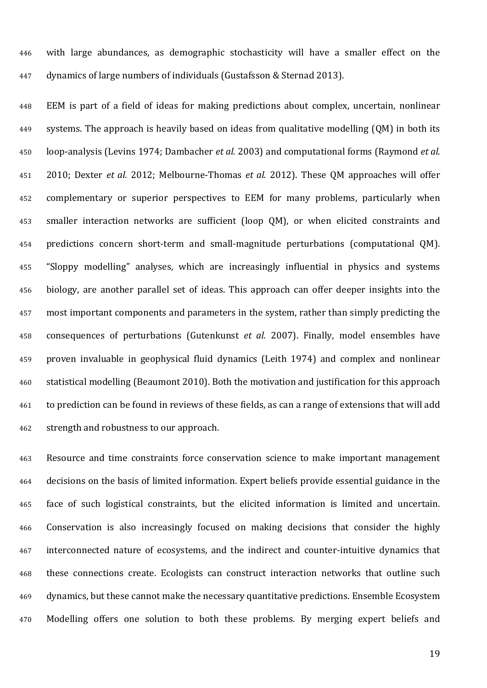with large abundances, as demographic stochasticity will have a smaller effect on the dynamics of large numbers of individuals (Gustafsson & Sternad 2013).

 EEM is part of a field of ideas for making predictions about complex, uncertain, nonlinear systems. The approach is heavily based on ideas from qualitative modelling (QM) in both its loop-analysis (Levins 1974; Dambacher *et al.* 2003) and computational forms (Raymond *et al.* 2010; Dexter *et al.* 2012; Melbourne-Thomas *et al.* 2012). These QM approaches will offer complementary or superior perspectives to EEM for many problems, particularly when smaller interaction networks are sufficient (loop QM), or when elicited constraints and predictions concern short-term and small-magnitude perturbations (computational QM). "Sloppy modelling" analyses, which are increasingly influential in physics and systems biology, are another parallel set of ideas. This approach can offer deeper insights into the most important components and parameters in the system, rather than simply predicting the consequences of perturbations (Gutenkunst *et al.* 2007). Finally, model ensembles have proven invaluable in geophysical fluid dynamics (Leith 1974) and complex and nonlinear statistical modelling (Beaumont 2010). Both the motivation and justification for this approach to prediction can be found in reviews of these fields, as can a range of extensions that will add strength and robustness to our approach.

 Resource and time constraints force conservation science to make important management decisions on the basis of limited information. Expert beliefs provide essential guidance in the face of such logistical constraints, but the elicited information is limited and uncertain. Conservation is also increasingly focused on making decisions that consider the highly interconnected nature of ecosystems, and the indirect and counter-intuitive dynamics that these connections create. Ecologists can construct interaction networks that outline such dynamics, but these cannot make the necessary quantitative predictions. Ensemble Ecosystem Modelling offers one solution to both these problems. By merging expert beliefs and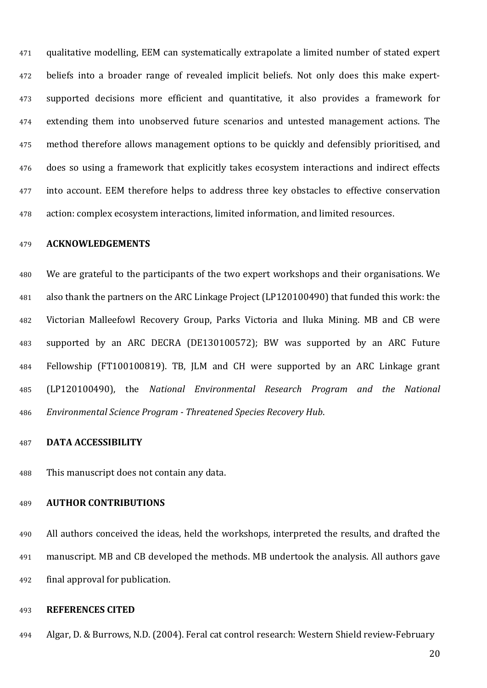qualitative modelling, EEM can systematically extrapolate a limited number of stated expert beliefs into a broader range of revealed implicit beliefs. Not only does this make expert- supported decisions more efficient and quantitative, it also provides a framework for extending them into unobserved future scenarios and untested management actions. The method therefore allows management options to be quickly and defensibly prioritised, and does so using a framework that explicitly takes ecosystem interactions and indirect effects into account. EEM therefore helps to address three key obstacles to effective conservation action: complex ecosystem interactions, limited information, and limited resources.

## **ACKNOWLEDGEMENTS**

 We are grateful to the participants of the two expert workshops and their organisations. We also thank the partners on the ARC Linkage Project (LP120100490) that funded this work: the Victorian Malleefowl Recovery Group, Parks Victoria and Iluka Mining. MB and CB were supported by an ARC DECRA (DE130100572); BW was supported by an ARC Future Fellowship (FT100100819). TB, JLM and CH were supported by an ARC Linkage grant (LP120100490), the *National Environmental Research Program and the National Environmental Science Program - Threatened Species Recovery Hub*.

### **DATA ACCESSIBILITY**

This manuscript does not contain any data.

#### **AUTHOR CONTRIBUTIONS**

 All authors conceived the ideas, held the workshops, interpreted the results, and drafted the manuscript. MB and CB developed the methods. MB undertook the analysis. All authors gave final approval for publication.

## **REFERENCES CITED**

Algar, D. & Burrows, N.D. (2004). Feral cat control research: Western Shield review-February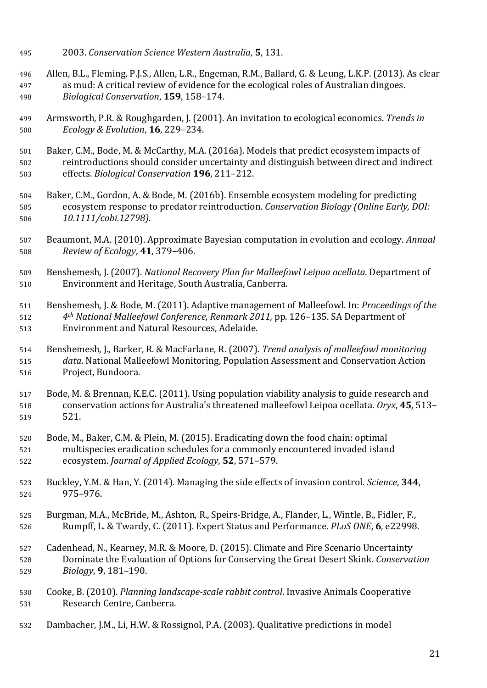- 2003. *Conservation Science Western Australia*, **5**, 131.
- 496 Allen, B.L., Fleming, P.J.S., Allen, L.R., Engeman, R.M., Ballard, G. & Leung, L.K.P. (2013). As clear<br>497 as mud: A critical review of evidence for the ecological roles of Australian dingoes. as mud: A critical review of evidence for the ecological roles of Australian dingoes. *Biological Conservation*, **159**, 158–174.
- Armsworth, P.R. & Roughgarden, J. (2001). An invitation to ecological economics. *Trends in Ecology & Evolution*, **16**, 229–234.
- Baker, C.M., Bode, M. & McCarthy, M.A. (2016a). Models that predict ecosystem impacts of 502 reintroductions should consider uncertainty and distinguish between direct and indirect<br>503 effects. *Biological Conservation* **196**, 211–212. effects. *Biological Conservation* **196**, 211–212.
- Baker, C.M., Gordon, A. & Bode, M. (2016b). Ensemble ecosystem modeling for predicting ecosystem response to predator reintroduction. *Conservation Biology (Online Early, DOI: 10.1111/cobi.12798)*.
- Beaumont, M.A. (2010). Approximate Bayesian computation in evolution and ecology. *Annual Review of Ecology*, **41**, 379–406.
- Benshemesh, J. (2007). *National Recovery Plan for Malleefowl Leipoa ocellata*. Department of Environment and Heritage, South Australia, Canberra.
- Benshemesh, J. & Bode, M. (2011). Adaptive management of Malleefowl. In: *Proceedings of the 4th National Malleefowl Conference, Renmark 2011,* pp. 126–135. SA Department of Environment and Natural Resources, Adelaide.
- Benshemesh, J., Barker, R. & MacFarlane, R. (2007). *Trend analysis of malleefowl monitoring data*. National Malleefowl Monitoring, Population Assessment and Conservation Action Project, Bundoora.
- Bode, M. & Brennan, K.E.C. (2011). Using population viability analysis to guide research and conservation actions for Australia's threatened malleefowl Leipoa ocellata. *Oryx*, **45**, 513– 521.
- Bode, M., Baker, C.M. & Plein, M. (2015). Eradicating down the food chain: optimal multispecies eradication schedules for a commonly encountered invaded island ecosystem. *Journal of Applied Ecology*, **52**, 571–579.
- Buckley, Y.M. & Han, Y. (2014). Managing the side effects of invasion control. *Science*, **344**, 975–976.
- Burgman, M.A., McBride, M., Ashton, R., Speirs-Bridge, A., Flander, L., Wintle, B., Fidler, F., Rumpff, L. & Twardy, C. (2011). Expert Status and Performance. *PLoS ONE*, **6**, e22998.
- Cadenhead, N., Kearney, M.R. & Moore, D. (2015). Climate and Fire Scenario Uncertainty Dominate the Evaluation of Options for Conserving the Great Desert Skink. *Conservation Biology*, **9**, 181–190.
- Cooke, B. (2010). *Planning landscape-scale rabbit control*. Invasive Animals Cooperative Research Centre, Canberra.
- Dambacher, J.M., Li, H.W. & Rossignol, P.A. (2003). Qualitative predictions in model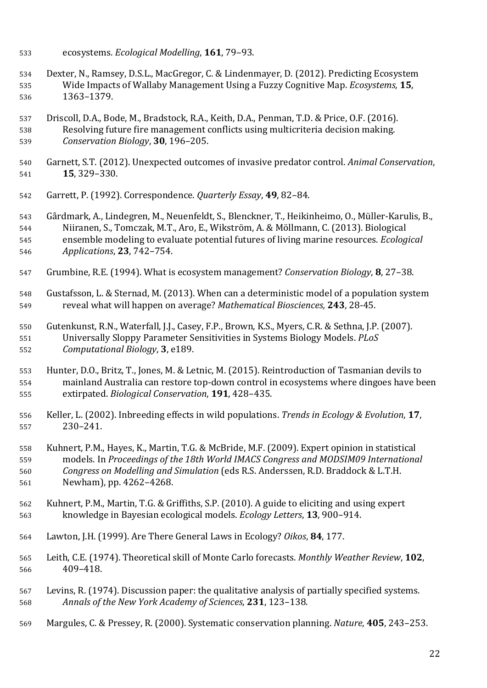- ecosystems. *Ecological Modelling*, **161**, 79–93.
- 534 Dexter, N., Ramsey, D.S.L., MacGregor, C. & Lindenmayer, D. (2012). Predicting Ecosystem<br>535 Wide Impacts of Wallaby Management Using a Fuzzy Cognitive Map. *Ecosystems*, **15**, Wide Impacts of Wallaby Management Using a Fuzzy Cognitive Map. *Ecosystems*, **15**, 1363–1379.
- Driscoll, D.A., Bode, M., Bradstock, R.A., Keith, D.A., Penman, T.D. & Price, O.F. (2016). Resolving future fire management conflicts using multicriteria decision making. *Conservation Biology*, **30**, 196–205.
- Garnett, S.T. (2012). Unexpected outcomes of invasive predator control. *Animal Conservation*, **15**, 329–330.
- Garrett, P. (1992). Correspondence. *Quarterly Essay*, **49**, 82–84.

 Gårdmark, A., Lindegren, M., Neuenfeldt, S., Blenckner, T., Heikinheimo, O., Müller-Karulis, B., Niiranen, S., Tomczak, M.T., Aro, E., Wikström, A. & Möllmann, C. (2013). Biological ensemble modeling to evaluate potential futures of living marine resources. *Ecological Applications*, **23**, 742–754.

- Grumbine, R.E. (1994). What is ecosystem management? *Conservation Biology*, **8**, 27–38.
- Gustafsson, L. & Sternad, M. (2013). When can a deterministic model of a population system reveal what will happen on average? *Mathematical Biosciences,* **243**, 28-45.

 Gutenkunst, R.N., Waterfall, J.J., Casey, F.P., Brown, K.S., Myers, C.R. & Sethna, J.P. (2007). Universally Sloppy Parameter Sensitivities in Systems Biology Models. *PLoS Computational Biology*, **3**, e189.

 Hunter, D.O., Britz, T., Jones, M. & Letnic, M. (2015). Reintroduction of Tasmanian devils to mainland Australia can restore top-down control in ecosystems where dingoes have been extirpated. *Biological Conservation*, **191**, 428–435.

 Keller, L. (2002). Inbreeding effects in wild populations. *Trends in Ecology & Evolution*, **17**, 230–241.

558 Kuhnert, P.M., Hayes, K., Martin, T.G. & McBride, M.F. (2009). Expert opinion in statistical<br>559 models. In *Proceedings of the 18th World IMACS Congress and MODSIM09 Internationa*  models. In *Proceedings of the 18th World IMACS Congress and MODSIM09 International Congress on Modelling and Simulation* (eds R.S. Anderssen, R.D. Braddock & L.T.H. Newham), pp. 4262–4268.

- Kuhnert, P.M., Martin, T.G. & Griffiths, S.P. (2010). A guide to eliciting and using expert knowledge in Bayesian ecological models. *Ecology Letters*, **13**, 900–914.
- Lawton, J.H. (1999). Are There General Laws in Ecology? *Oikos*, **84**, 177.
- Leith, C.E. (1974). Theoretical skill of Monte Carlo forecasts. *Monthly Weather Review*, **102**, 409–418.
- Levins, R. (1974). Discussion paper: the qualitative analysis of partially specified systems. *Annals of the New York Academy of Sciences*, **231**, 123–138.
- Margules, C. & Pressey, R. (2000). Systematic conservation planning. *Nature*, **405**, 243–253.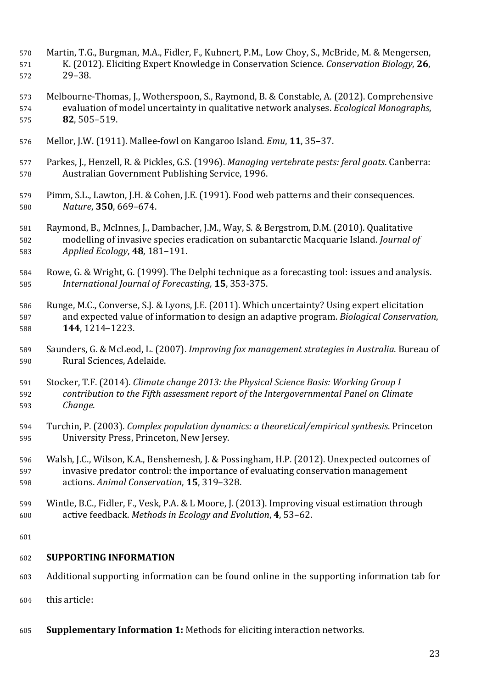- Martin, T.G., Burgman, M.A., Fidler, F., Kuhnert, P.M., Low Choy, S., McBride, M. & Mengersen, K. (2012). Eliciting Expert Knowledge in Conservation Science. *Conservation Biology*, **26**, 29–38.
- Melbourne-Thomas, J., Wotherspoon, S., Raymond, B. & Constable, A. (2012). Comprehensive evaluation of model uncertainty in qualitative network analyses. *Ecological Monographs*, **82**, 505–519.
- Mellor, J.W. (1911). Mallee-fowl on Kangaroo Island. *Emu*, **11**, 35–37.
- Parkes, J., Henzell, R. & Pickles, G.S. (1996). *Managing vertebrate pests: feral goats*. Canberra: Australian Government Publishing Service, 1996.
- Pimm, S.L., Lawton, J.H. & Cohen, J.E. (1991). Food web patterns and their consequences. *Nature*, **350**, 669–674.
- Raymond, B., McInnes, J., Dambacher, J.M., Way, S. & Bergstrom, D.M. (2010). Qualitative modelling of invasive species eradication on subantarctic Macquarie Island. *Journal of Applied Ecology*, **48**, 181–191.
- Rowe, G. & Wright, G. (1999). The Delphi technique as a forecasting tool: issues and analysis. *International Journal of Forecasting,* **15**, 353-375.
- 586 Runge, M.C., Converse, S.J. & Lyons, J.E. (2011). Which uncertainty? Using expert elicitation<br>587 and expected value of information to design an adaptive program. *Biological Conservati*on and expected value of information to design an adaptive program. *Biological Conservation*, **144**, 1214–1223.
- Saunders, G. & McLeod, L. (2007). *Improving fox management strategies in Australia*. Bureau of Rural Sciences, Adelaide.
- Stocker, T.F. (2014). *Climate change 2013: the Physical Science Basis: Working Group I contribution to the Fifth assessment report of the Intergovernmental Panel on Climate Change*.
- Turchin, P. (2003). *Complex population dynamics: a theoretical/empirical synthesis*. Princeton University Press, Princeton, New Jersey.
- Walsh, J.C., Wilson, K.A., Benshemesh, J. & Possingham, H.P. (2012). Unexpected outcomes of invasive predator control: the importance of evaluating conservation management actions. *Animal Conservation*, **15**, 319–328.
- Wintle, B.C., Fidler, F., Vesk, P.A. & L Moore, J. (2013). Improving visual estimation through active feedback. *Methods in Ecology and Evolution*, **4**, 53–62.

# **SUPPORTING INFORMATION**

- Additional supporting information can be found online in the supporting information tab for
- this article:
- **Supplementary Information 1:** Methods for eliciting interaction networks.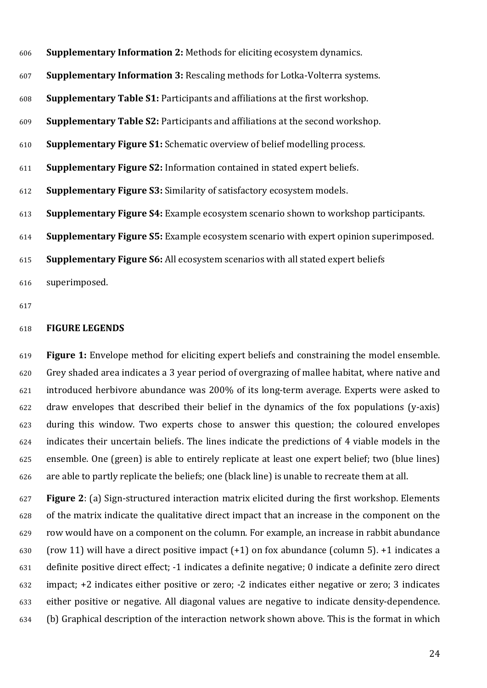| 606 | <b>Supplementary Information 2:</b> Methods for eliciting ecosystem dynamics.                |
|-----|----------------------------------------------------------------------------------------------|
| 607 | <b>Supplementary Information 3: Rescaling methods for Lotka-Volterra systems.</b>            |
| 608 | <b>Supplementary Table S1:</b> Participants and affiliations at the first workshop.          |
| 609 | <b>Supplementary Table S2:</b> Participants and affiliations at the second workshop.         |
| 610 | <b>Supplementary Figure S1:</b> Schematic overview of belief modelling process.              |
| 611 | <b>Supplementary Figure S2:</b> Information contained in stated expert beliefs.              |
| 612 | <b>Supplementary Figure S3: Similarity of satisfactory ecosystem models.</b>                 |
| 613 | <b>Supplementary Figure S4:</b> Example ecosystem scenario shown to workshop participants.   |
| 614 | <b>Supplementary Figure S5:</b> Example ecosystem scenario with expert opinion superimposed. |
| 615 | <b>Supplementary Figure S6:</b> All ecosystem scenarios with all stated expert beliefs       |
| 616 | superimposed.                                                                                |
|     |                                                                                              |

### **FIGURE LEGENDS**

 **Figure 1:** Envelope method for eliciting expert beliefs and constraining the model ensemble. Grey shaded area indicates a 3 year period of overgrazing of mallee habitat, where native and introduced herbivore abundance was 200% of its long-term average. Experts were asked to draw envelopes that described their belief in the dynamics of the fox populations (y-axis) during this window. Two experts chose to answer this question; the coloured envelopes indicates their uncertain beliefs. The lines indicate the predictions of 4 viable models in the ensemble. One (green) is able to entirely replicate at least one expert belief; two (blue lines) are able to partly replicate the beliefs; one (black line) is unable to recreate them at all.

 **Figure 2**: (a) Sign-structured interaction matrix elicited during the first workshop. Elements of the matrix indicate the qualitative direct impact that an increase in the component on the row would have on a component on the column. For example, an increase in rabbit abundance 630 (row 11) will have a direct positive impact  $(+1)$  on fox abundance (column 5).  $+1$  indicates a definite positive direct effect; -1 indicates a definite negative; 0 indicate a definite zero direct impact; +2 indicates either positive or zero; -2 indicates either negative or zero; 3 indicates either positive or negative. All diagonal values are negative to indicate density-dependence. (b) Graphical description of the interaction network shown above. This is the format in which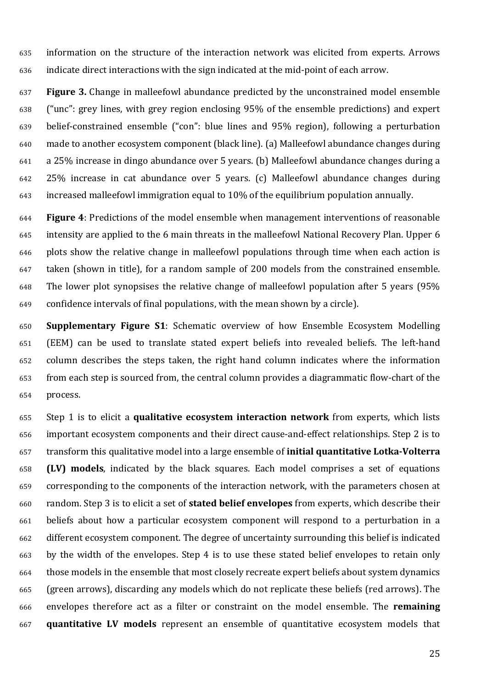information on the structure of the interaction network was elicited from experts. Arrows indicate direct interactions with the sign indicated at the mid-point of each arrow.

 **Figure 3.** Change in malleefowl abundance predicted by the unconstrained model ensemble ("unc": grey lines, with grey region enclosing 95% of the ensemble predictions) and expert belief-constrained ensemble ("con": blue lines and 95% region), following a perturbation made to another ecosystem component (black line). (a) Malleefowl abundance changes during a 25% increase in dingo abundance over 5 years. (b) Malleefowl abundance changes during a 25% increase in cat abundance over 5 years. (c) Malleefowl abundance changes during increased malleefowl immigration equal to 10% of the equilibrium population annually.

 **Figure 4**: Predictions of the model ensemble when management interventions of reasonable intensity are applied to the 6 main threats in the malleefowl National Recovery Plan. Upper 6 plots show the relative change in malleefowl populations through time when each action is taken (shown in title), for a random sample of 200 models from the constrained ensemble. The lower plot synopsises the relative change of malleefowl population after 5 years (95% confidence intervals of final populations, with the mean shown by a circle).

 **Supplementary Figure S1**: Schematic overview of how Ensemble Ecosystem Modelling (EEM) can be used to translate stated expert beliefs into revealed beliefs. The left-hand column describes the steps taken, the right hand column indicates where the information from each step is sourced from, the central column provides a diagrammatic flow-chart of the process.

 Step 1 is to elicit a **qualitative ecosystem interaction network** from experts, which lists important ecosystem components and their direct cause-and-effect relationships. Step 2 is to transform this qualitative model into a large ensemble of **initial quantitative Lotka-Volterra (LV) models**, indicated by the black squares. Each model comprises a set of equations corresponding to the components of the interaction network, with the parameters chosen at random. Step 3 is to elicit a set of **stated belief envelopes** from experts, which describe their beliefs about how a particular ecosystem component will respond to a perturbation in a different ecosystem component. The degree of uncertainty surrounding this belief is indicated by the width of the envelopes. Step 4 is to use these stated belief envelopes to retain only those models in the ensemble that most closely recreate expert beliefs about system dynamics (green arrows), discarding any models which do not replicate these beliefs (red arrows). The envelopes therefore act as a filter or constraint on the model ensemble. The **remaining quantitative LV models** represent an ensemble of quantitative ecosystem models that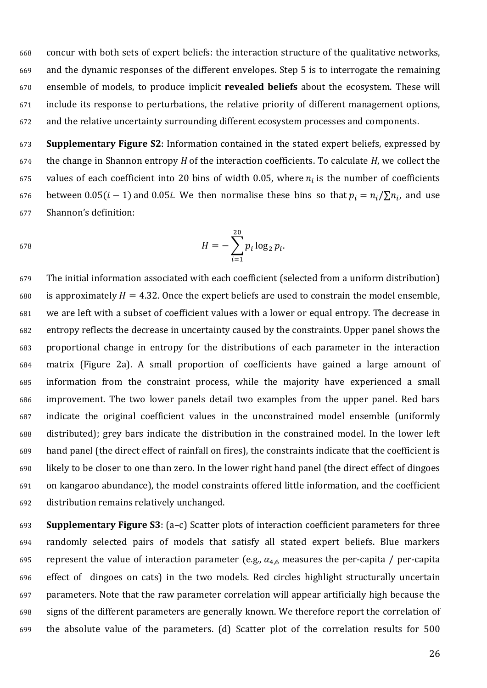concur with both sets of expert beliefs: the interaction structure of the qualitative networks, and the dynamic responses of the different envelopes. Step 5 is to interrogate the remaining ensemble of models, to produce implicit **revealed beliefs** about the ecosystem. These will include its response to perturbations, the relative priority of different management options, and the relative uncertainty surrounding different ecosystem processes and components.

 **Supplementary Figure S2**: Information contained in the stated expert beliefs, expressed by the change in Shannon entropy *H* of the interaction coefficients. To calculate *H*, we collect the 675 values of each coefficient into 20 bins of width 0.05, where  $n_i$  is the number of coefficients 676 between 0.05( $i - 1$ ) and 0.05*i*. We then normalise these bins so that  $p_i = n_i / \sum n_i$ , and use Shannon's definition:

678 
$$
H = -\sum_{i=1}^{\infty} p_i \log_2 p_i.
$$

 The initial information associated with each coefficient (selected from a uniform distribution) 680 is approximately  $H = 4.32$ . Once the expert beliefs are used to constrain the model ensemble, we are left with a subset of coefficient values with a lower or equal entropy. The decrease in entropy reflects the decrease in uncertainty caused by the constraints. Upper panel shows the proportional change in entropy for the distributions of each parameter in the interaction matrix (Figure 2a). A small proportion of coefficients have gained a large amount of information from the constraint process, while the majority have experienced a small improvement. The two lower panels detail two examples from the upper panel. Red bars indicate the original coefficient values in the unconstrained model ensemble (uniformly distributed); grey bars indicate the distribution in the constrained model. In the lower left hand panel (the direct effect of rainfall on fires), the constraints indicate that the coefficient is likely to be closer to one than zero. In the lower right hand panel (the direct effect of dingoes on kangaroo abundance), the model constraints offered little information, and the coefficient distribution remains relatively unchanged.

 **Supplementary Figure S3**: (a–c) Scatter plots of interaction coefficient parameters for three randomly selected pairs of models that satisfy all stated expert beliefs. Blue markers 695 represent the value of interaction parameter (e.g.,  $\alpha_{4.6}$  measures the per-capita / per-capita effect of dingoes on cats) in the two models. Red circles highlight structurally uncertain parameters. Note that the raw parameter correlation will appear artificially high because the signs of the different parameters are generally known. We therefore report the correlation of the absolute value of the parameters. (d) Scatter plot of the correlation results for 500